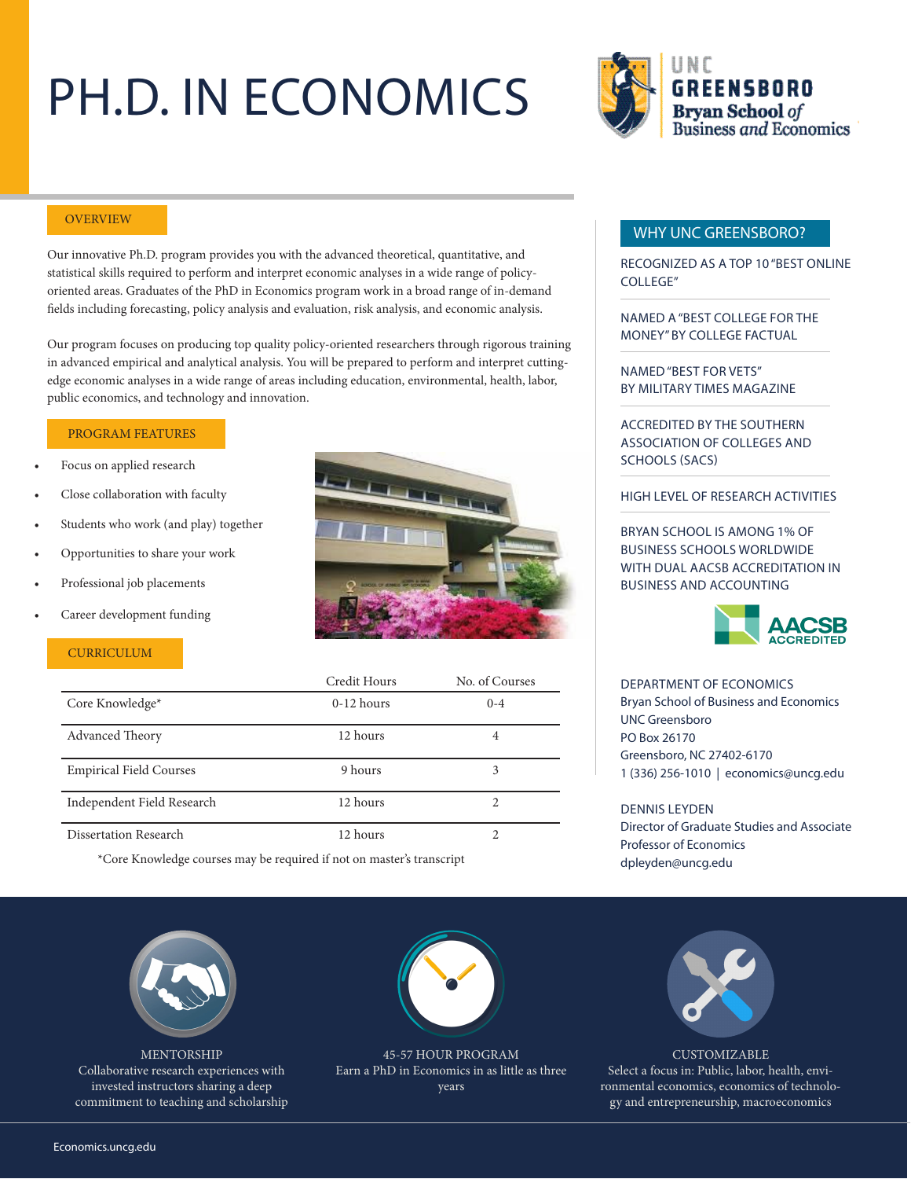# PH.D. IN ECONOMICS



#### **OVERVIEW**

Our innovative Ph.D. program provides you with the advanced theoretical, quantitative, and statistical skills required to perform and interpret economic analyses in a wide range of policyoriented areas. Graduates of the PhD in Economics program work in a broad range of in-demand fields including forecasting, policy analysis and evaluation, risk analysis, and economic analysis.

Our program focuses on producing top quality policy-oriented researchers through rigorous training in advanced empirical and analytical analysis. You will be prepared to perform and interpret cuttingedge economic analyses in a wide range of areas including education, environmental, health, labor, public economics, and technology and innovation.

#### PROGRAM FEATURES

- Focus on applied research
- Close collaboration with faculty
- Students who work (and play) together
- Opportunities to share your work
- Professional job placements
- Career development funding

#### **CURRICULUM**



|                                | Credit Hours | No. of Courses |
|--------------------------------|--------------|----------------|
| Core Knowledge*                | $0-12$ hours | $0 - 4$        |
| <b>Advanced Theory</b>         | 12 hours     | 4              |
| <b>Empirical Field Courses</b> | 9 hours      | 3              |
| Independent Field Research     | 12 hours     |                |
| Dissertation Research          | 12 hours     |                |

\*Core Knowledge courses may be required if not on master's transcript

MENTORSHIP Collaborative research experiences with invested instructors sharing a deep commitment to teaching and scholarship



45-57 HOUR PROGRAM Earn a PhD in Economics in as little as three years

### WHY UNC GREENSBORO?

RECOGNIZED AS A TOP 10 "BEST ONLINE COLLEGE"

NAMED A "BEST COLLEGE FOR THE MONEY" BY COLLEGE FACTUAL

NAMED "BEST FOR VETS" BY MILITARY TIMES MAGAZINE

ACCREDITED BY THE SOUTHERN ASSOCIATION OF COLLEGES AND SCHOOLS (SACS)

#### HIGH LEVEL OF RESEARCH ACTIVITIES

BRYAN SCHOOL IS AMONG 1% OF BUSINESS SCHOOLS WORLDWIDE WITH DUAL AACSB ACCREDITATION IN BUSINESS AND ACCOUNTING



DEPARTMENT OF ECONOMICS Bryan School of Business and Economics UNC Greensboro PO Box 26170 Greensboro, NC 27402-6170 1 (336) 256-1010 | economics@uncg.edu

DENNIS LEYDEN Director of Graduate Studies and Associate Professor of Economics dpleyden@uncg.edu



**CUSTOMIZABLE** Select a focus in: Public, labor, health, environmental economics, economics of technology and entrepreneurship, macroeconomics